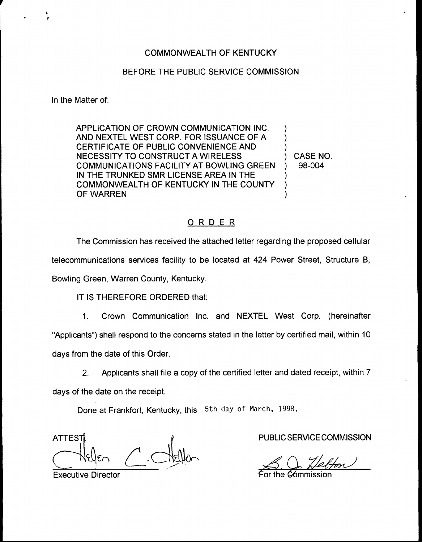## BEFORE THE PUBLIC SERVICE COMMISSION

In the Matter of:

APPLICATION OF CROWN COMMUNICATION INC. AND NEXTEL WEST CORP. FOR ISSUANCE OF A CERTIFICATE OF PUBLIC CONVENIENCE AND NECESSITY TO CONSTRUCT A WIRELESS COMMUNICATIONS FACILITY AT BOWLING GREEN IN THE TRUNKED SMR LICENSE AREA IN THE COMMONWEALTH OF KENTUCKY IN THE COUNTY OF WARREN ) ) ) ) ) )

) CASE NO. ) 98-004

## ORDER

The Commission has received the attached letter regarding the proposed cellular telecommunications services facility to be located at 424 Power Street, Structure 8, Bowling Green, Warren County, Kentucky.

IT IS THEREFORE ORDERED that:

1. Crown Communication Inc. and NEXTEL West Corp. (hereinafter "Applicants") shall respond to the concerns stated in the letter by certified mail, within 10 days from the date of this Order.

2. Applicants shall file a copy of the certified letter and dated receipt, within 7 days of the date on the receipt.

Done at Frankfort, Kentucky, this 5th day of March, 1998.

**ATTEST** 

PUBLIC SERVICE COMMISSION

For the Commission

Executive Director